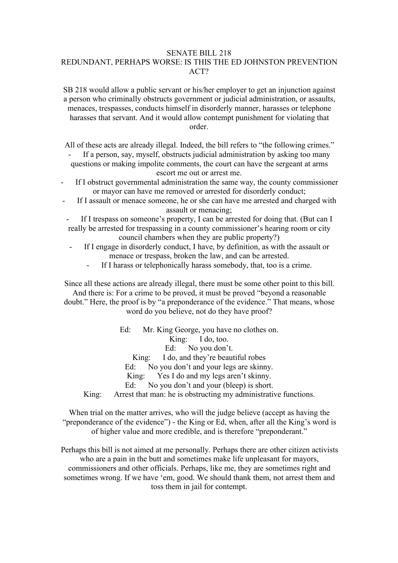### SENATE BILL 218

# REDUNDANT, PERHAPS WORSE: IS THIS THE ED JOHNSTON PREVENTION ACT?

SB 218 would allow a public servant or his/her employer to get an injunction against a person who criminally obstructs government or judicial administration, or assaults, menaces, trespasses, conducts himself in disorderly manner, harasses or telephone harasses that servant. And it would allow contempt punishment for violating that order.

All of these acts are already illegal. Indeed, the bill refers to "the following crimes."

If a person, say, myself, obstructs judicial administration by asking too many questions or making impolite comments, the court can have the sergeant at arms escort me out or arrest me.

If I obstruct governmental administration the same way, the county commissioner or mayor can have me removed or arrested for disorderly conduct;

If I assault or menace someone, he or she can have me arrested and charged with assault or menacing;

If I trespass on someone's property, I can be arrested for doing that. (But can I really be arrested for trespassing in a county commissioner's hearing room or city council chambers when they are public property?)

- If I engage in disorderly conduct, I have, by definition, as with the assault or menace or trespass, broken the law, and can be arrested.<br>If I harass or telephonically harass somebody, that, too is a crime.
	-

Since all these actions are already illegal, there must be some other point to this bill. And there is: For a crime to be proved, it must be proved "beyond a reasonable

doubt." Here, the proof is by "a preponderance of the evidence." That means, whose word do you believe, not do they have proof?

Ed: Mr. King George, you have no clothes on. King: I do, too. Ed: No you don't. King: I do, and they're beautiful robes Ed: No you don't and your legs are skinny. King: Yes I do and my legs aren't skinny. Ed: No you don't and your (bleep) is short. King: Arrest that man: he is obstructing my administrative functions.

When trial on the matter arrives, who will the judge believe (accept as having the "preponderance of the evidence") - the King or Ed, when, after all the King's word is of higher value and more credible, and is therefore "preponderant."

Perhaps this bill is not aimed at me personally. Perhaps there are other citizen activists who are a pain in the butt and sometimes make life unpleasant for mayors, commissioners and other officials. Perhaps, like me, they are sometimes right and sometimes wrong. If we have 'em, good. We should thank them, not arrest them and toss them in jail for contempt.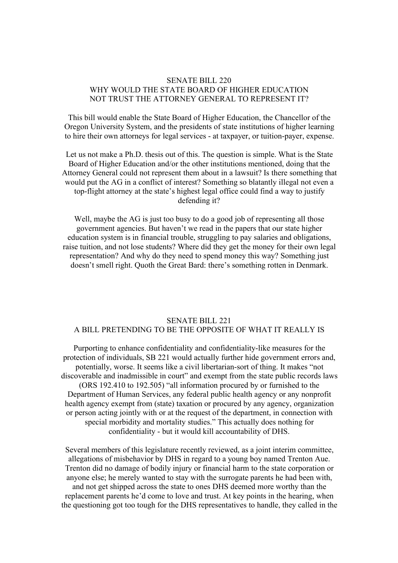# SENATE BILL 220 WHY WOULD THE STATE BOARD OF HIGHER EDUCATION NOT TRUST THE ATTORNEY GENERAL TO REPRESENT IT?

This bill would enable the State Board of Higher Education, the Chancellor of the Oregon University System, and the presidents of state institutions of higher learning to hire their own attorneys for legal services - at taxpayer, or tuition-payer, expense.

Let us not make a Ph.D. thesis out of this. The question is simple. What is the State Board of Higher Education and/or the other institutions mentioned, doing that the Attorney General could not represent them about in a lawsuit? Is there something that would put the AG in a conflict of interest? Something so blatantly illegal not even a top-flight attorney at the state's highest legal office could find a way to justify defending it?

Well, maybe the AG is just too busy to do a good job of representing all those government agencies. But haven't we read in the papers that our state higher education system is in financial trouble, struggling to pay salaries and obligations, raise tuition, and not lose students? Where did they get the money for their own legal representation? And why do they need to spend money this way? Something just doesn't smell right. Quoth the Great Bard: there's something rotten in Denmark.

# SENATE BILL 221 A BILL PRETENDING TO BE THE OPPOSITE OF WHAT IT REALLY IS

Purporting to enhance confidentiality and confidentiality-like measures for the protection of individuals, SB 221 would actually further hide government errors and, potentially, worse. It seems like a civil libertarian-sort of thing. It makes "not discoverable and inadmissible in court" and exempt from the state public records laws (ORS 192.410 to 192.505) "all information procured by or furnished to the Department of Human Services, any federal public health agency or any nonprofit health agency exempt from (state) taxation or procured by any agency, organization or person acting jointly with or at the requestof the department, in connection with special morbidity and mortality studies." This actually does nothing for confidentiality - but it would kill accountability of DHS.

Several members of this legislature recently reviewed, as a joint interim committee, allegations of misbehavior by DHS in regard to a young boy named Trenton Aue. Trenton did no damage of bodily injury or financial harm to the state corporation or anyone else; he merely wanted to stay with the surrogate parents he had been with, and not get shipped across the state to ones DHS deemed more worthy than the replacement parents he'd come to love and trust. At key points in the hearing, when the questioning got too tough for the DHS representatives to handle, they called in the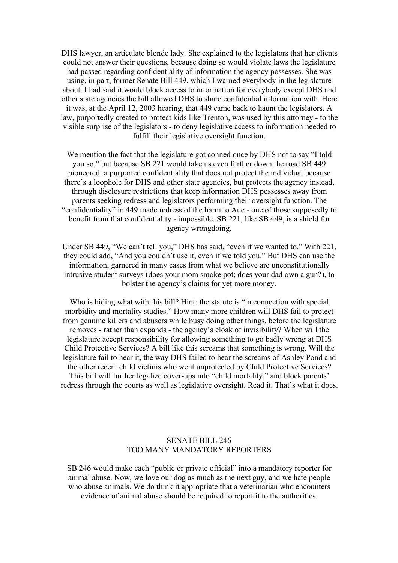DHS lawyer, an articulate blonde lady. She explained to the legislators that her clients could not answer their questions, because doing so would violate laws the legislature had passed regarding confidentiality of information the agency possesses. She was using, in part, former Senate Bill 449, which I warned everybody in the legislature about. I had said it would block access to information for everybody except DHS and other state agencies the bill allowed DHS toshare confidential information with. Here it was, at the April 12, 2003 hearing, that 449 came back to haunt the legislators. A law, purportedly created to protect kids like Trenton, was used by this attorney - to the visible surprise of the legislators - to deny legislative access to information needed to fulfill their legislative oversight function.

We mention the fact that the legislature got conned once by DHS not to say "I told you so," but because SB 221 would take us even further down the road SB 449 pioneered: a purported confidentiality that does not protect the individual because there's a loophole for DHS and other state agencies, but protects the agency instead, through disclosure restrictions that keep information DHS possesses away from parents seeking redress and legislators performing their oversight function. The "confidentiality" in 449 made redress of the harm to Aue - one of those supposedly to benefit from that confidentiality - impossible. SB 221, like SB 449, is a shield for agency wrongdoing.

Under SB 449, "We can't tell you," DHS has said, "even if we wanted to." With 221, they could add, "And you couldn't use it, even if we told you." But DHS can use the information, garnered in many cases from what we believe are unconstitutionally intrusive student surveys (does your mom smoke pot; does your dad own a gun?), to bolster the agency's claims for yet more money.

Who is hiding what with this bill? Hint: the statute is "in connection with special morbidity and mortality studies." How many more children will DHS fail to protect from genuine killers and abusers while busy doing other things, before the legislature removes - rather than expands - the agency's cloak of invisibility? When will the legislature accept responsibility for allowing something to go badly wrong at DHS Child Protective Services? A bill like this screams that something is wrong. Will the legislature fail to hear it, the way DHS failed to hear the screams of Ashley Pond and the other recent child victims who went unprotected by Child Protective Services? This bill will further legalize cover-ups into "child mortality," and block parents' redress through the courts as well as legislative oversight. Read it. That's what it does.

### SENATE BILL 246 TOO MANY MANDATORY REPORTERS

SB 246 would make each "public or private official" into a mandatory reporter for animal abuse. Now, we love our dog as much as the next guy, and we hate people who abuse animals. We do think it appropriate that a veterinarian who encounters evidence of animal abuse should be required to report it to the authorities.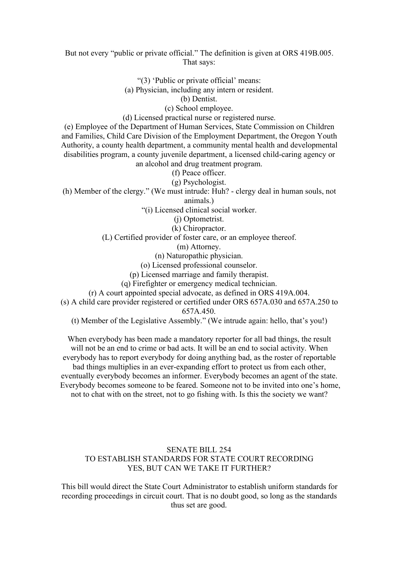### But not every "public or private official." The definition is given at ORS 419B.005. That says:

"(3) 'Public or private official' means:

(a) Physician, including any intern or resident.(b) Dentist.

(c) School employee.

(d) Licensed practical nurse or registered nurse.

(e) Employee of the Department of Human Services, State Commission on Children and Families, Child Care Division of the Employment Department, the Oregon Youth Authority, a county health department, a community mental health and developmental disabilities program, a county juvenile department, a licensed child-caring agency or

an alcohol and drug treatment program.

(f) Peace officer.

(g) Psychologist.

(h) Member of the clergy." (We must intrude: Huh? - clergy deal in human souls, not animals.)

"(i) Licensed clinical social worker.

(j) Optometrist.

(k) Chiropractor.

(L) Certified provider of foster care, or an employee thereof.

(m) Attorney.

(n) Naturopathic physician.

(o) Licensed professional counselor.

(p) Licensed marriage and family therapist.

(q) Firefighter or emergency medical technician.

(r) A court appointed special advocate, as defined in ORS 419A.004.

(s) A child care provider registered or certified under ORS 657A.030 and 657A.250 to 657A.450.

(t) Member of the Legislative Assembly." (We intrude again: hello, that's you!)

When everybody has been made a mandatory reporter for all bad things, the result will not be an end to crime or bad acts. It will be an end to social activity. When everybody has to report everybody for doing anything bad, as the roster of reportable bad things multiplies in an ever-expanding effort to protect us from each other, eventually everybody becomes an informer. Everybody becomes an agent of the state. Everybody becomes someone to be feared. Someone not to be invited into one's home, not to chat with on the street, not to go fishing with. Is this the society we want?

# SENATE BILL 254 TO ESTABLISH STANDARDS FOR STATE COURT RECORDING YES, BUT CAN WE TAKE IT FURTHER?

This bill would direct the State Court Administrator to establish uniform standards for recording proceedings in circuit court. That is no doubt good, so long as the standards thus set are good.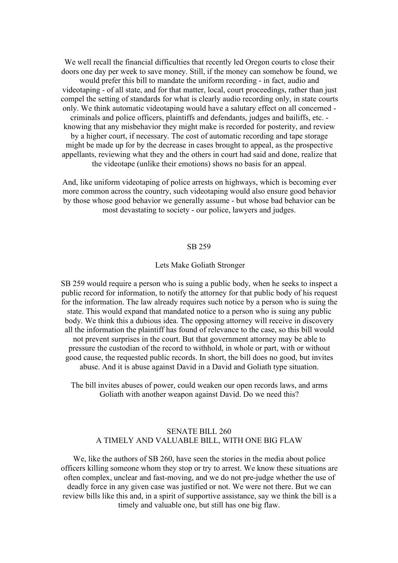We well recall the financial difficulties that recently led Oregon courts to close their doors one day per week to save money. Still, if the money can somehow be found, we would prefer this bill to mandate the uniform recording - in fact, audio and videotaping - of all state, and for that matter, local, court proceedings, rather than just compel the setting of standards for what is clearly audio recording only, in state courts only. We think automatic videotaping would have a salutary effect on all concerned criminals and police officers, plaintiffs and defendants, judges and bailiffs, etc. knowing that any misbehavior they might make is recorded for posterity, and review by a higher court, if necessary. The cost of automatic recording and tape storage might be made up for by the decrease in cases brought to appeal, as the prospective appellants, reviewing what they and the others in court had said and done, realize that

the videotape (unlike their emotions) shows no basis for an appeal.

And, like uniform videotaping of police arrests on highways, which is becoming ever more common across the country, such videotaping would also ensure good behavior by those whose good behavior we generally assume - but whose bad behavior can be most devastating to society - our police, lawyers and judges.

#### SB 259

#### Lets Make Goliath Stronger

SB 259 would require a person who is suing a public body, when he seeks to inspect a public record for information, to notify the attorney for that public body of his request for the information. The law already requires such notice by a person who is suing the state. This would expand that mandated notice to a person who is suing any public body. We think this a dubious idea. The opposing attorney will receive in discovery all the information the plaintiff has found of relevance to the case, so this bill would not prevent surprises in the court. But that government attorney may be able to pressure the custodian of the record to withhold, in whole or part, with or without good cause, the requested public records. In short, the bill does no good, but invites abuse. And it is abuse against David in a David and Goliath type situation.

The bill invites abuses of power, could weaken our open records laws, and arms Goliath with another weapon against David. Do we need this?

# SENATE BILL 260 A TIMELY AND VALUABLE BILL, WITH ONE BIG FLAW

We, like the authors of SB 260, have seen the stories in the media about police officers killing someone whom they stop or try to arrest. We know these situations are often complex, unclear and fast-moving, and we do not pre-judge whether the use of deadly force in any given case was justified or not. We were not there. But we can review bills like this and, in a spirit of supportive assistance, say we think the bill is a timely and valuable one, but still has one big flaw.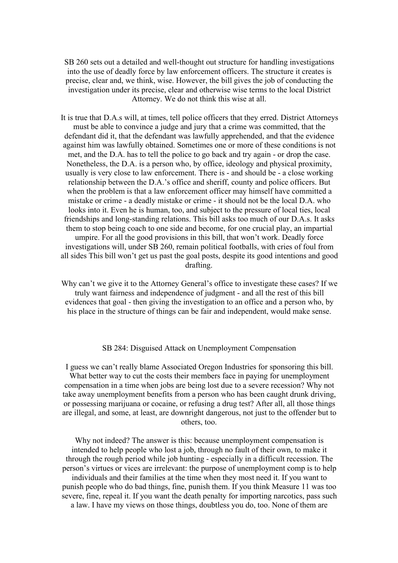SB 260 sets out a detailed and well-thought out structure for handling investigations into the use of deadly force by law enforcement officers. The structure it creates is precise, clear and, we think, wise. However, the bill gives the job of conducting the investigation under its precise, clear and otherwise wise terms to the local District Attorney. We do not think this wise at all.

It is true that D.A.s will, at times, tell police officers that they erred. District Attorneys must be able to convince a judge and jury that a crime was committed, that the defendant did it, that the defendant was lawfully apprehended, and that the evidence against him was lawfully obtained. Sometimes one or more of these conditions is not met, and the D.A. has to tell the police to go back and try again - or drop the case. Nonetheless, the D.A. is a person who, by office, ideology and physical proximity, usually is very close to law enforcement. There is - and should be - a close working relationship between the D.A.'s office and sheriff, county and police officers. But when the problem is that a law enforcement officer may himself have committed a mistake or crime - a deadly mistake or crime - it should not be the local D.A. who looks into it. Even he is human, too, and subject to the pressure of local ties, local friendships and long-standing relations. This bill asks too much of our D.A.s. It asks them to stop being coach to one side and become, for one crucial play, an impartial umpire. For all the good provisions in this bill, that won't work. Deadly force investigations will, under SB 260, remain political footballs, with cries of foul from all sides This bill won't get us past the goal posts, despite its good intentions and good drafting.

Why can't we give it to the Attorney General's office to investigate these cases? If we truly want fairness and independence of judgment - and all the rest of this bill evidences that goal - then giving the investigation to an office and a person who, by his place in the structure of things can be fair and independent, would make sense.

#### SB 284: Disguised Attack on Unemployment Compensation

I guess we can't really blame Associated Oregon Industries for sponsoring this bill. What better way to cut the costs their members face in paying for unemployment compensation in a time when jobs are being lost due to a severe recession? Why not take away unemployment benefits from a person who has been caught drunk driving, or possessing marijuana or cocaine, or refusing a drug test? After all, all those things are illegal, and some, at least, are downright dangerous, not just to the offender but to others, too.

Why not indeed? The answer is this: because unemployment compensation is intended to help people who lost a job, through no fault of their own, to make it through the rough period while job hunting - especially in a difficult recession. The person's virtues or vices are irrelevant: the purpose of unemployment comp is to help individuals and their families at the time when they most need it. If you want to punish people who do bad things, fine, punish them. If you think Measure 11 was too severe, fine, repeal it. If you want the death penalty for importing narcotics, pass such a law. I have my views on those things, doubtless you do, too. None of them are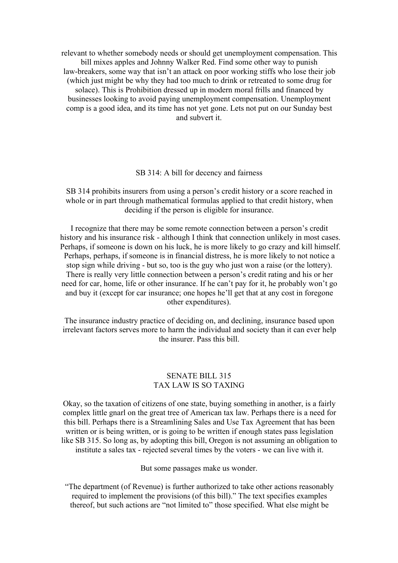relevant to whether somebody needs or should get unemployment compensation. This bill mixes apples and Johnny Walker Red. Find some other way to punish law-breakers, some way that isn't an attack on poor working stiffs who lose their job (which just might be why they had too much to drink or retreated to some drug for solace). This is Prohibition dressed up in modern moral frills and financed by businesses looking to avoid paying unemployment compensation. Unemployment comp is a good idea, and its time has not vet gone. Lets not put on our Sunday best and subvert it.

#### SB 314: A bill for decency and fairness

# SB 314 prohibits insurers from using a person's credit history or a score reached in whole or in part through mathematical formulas applied to that credit history, when deciding if the person is eligible for insurance.

I recognize that there may be some remote connection between a person's credit history and his insurance risk - although I think that connection unlikely in most cases. Perhaps, if someone is down on his luck, he is more likely to go crazy and kill himself. Perhaps, perhaps, if someone is in financial distress, he is more likely to not notice a stop sign while driving - but so, too is the guy who just won a raise (or the lottery). There is really very little connection between a person's credit rating and his or her need for car, home, life or other insurance. If he can't pay for it, he probably won't go and buy it (except for car insurance; one hopes he'll get that at any cost in foregone other expenditures).

The insurance industry practice of deciding on, and declining, insurance based upon irrelevant factors serves more to harm the individual and society than it can ever help the insurer. Pass this bill.

# SENATE BILL 315 TAX LAW IS SO TAXING

Okay, so the taxation of citizens of one state, buying something in another, is a fairly complex little gnarl on the great tree of American tax law. Perhaps there is a need for this bill. Perhaps there is a Streamlining Sales and Use Tax Agreement that has been written or is being written, or is going to be written if enough states pass legislation like SB 315. So long as, by adopting this bill, Oregon is not assuming an obligation to institute a sales tax - rejected several times by the voters - we can live with it.

But some passages make us wonder.

"The department (of Revenue) is further authorized to take other actions reasonably required to implement the provisions (of this bill)." The text specifies examples thereof, but such actions are "not limited to" those specified. What else might be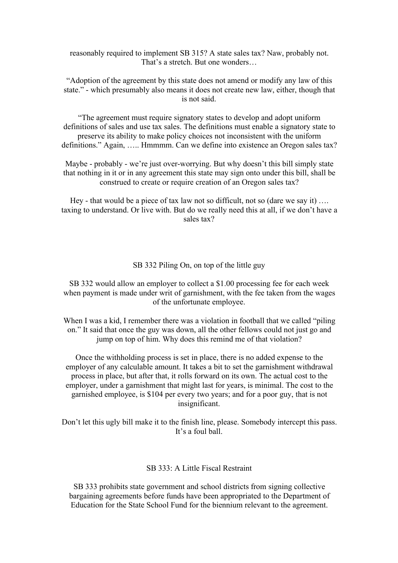reasonably required to implement SB 315? A state sales tax? Naw, probably not. That's a stretch. But one wonders…

"Adoption of the agreement by this state does not amend or modify any law of this state." - which presumably also means it does not create new law, either, though that is not said.

"The agreement must require signatory states to develop and adopt uniform definitions of sales and use tax sales. The definitions must enable a signatory state to preserve its ability to make policy choices not inconsistent with the uniform definitions." Again, ….. Hmmmm. Can we define into existence an Oregon sales tax?

Maybe - probably - we're just over-worrying. But why doesn't this bill simply state that nothing in it or in any agreement this state may sign onto under this bill, shall be construed to create or require creation of an Oregon sales tax?

Hey - that would be a piece of tax law not so difficult, not so (dare we say it) …. taxing to understand. Or live with. But do we really need this at all, if we don't have a sales tax?

### SB 332 Piling On, on top of the little guy

SB 332 would allow an employer to collect a \$1.00 processing fee for each week when payment is made under writ of garnishment, with the fee taken from the wages of the unfortunate employee.

When I was a kid, I remember there was a violation in football that we called "piling" on." It said that once the guy was down, all the other fellows could not just go and jump on top of him. Why does this remind me of that violation?

Once the withholding process is set in place, there is no added expense to the employer of any calculable amount. It takes a bit to set the garnishment withdrawal process in place, but after that, it rolls forward on its own. The actual cost to the employer, under a garnishment that might last for years, is minimal. The cost to the garnished employee, is \$104 per every two years; and for a poorguy, that is not insignificant.

Don't let this ugly bill make it to the finish line, please. Somebody intercept this pass. It's a foul ball.

# SB 333: A Little Fiscal Restraint

SB 333 prohibits state government and school districts from signing collective bargaining agreements before funds have been appropriated to the Department of Education for the State School Fund for the biennium relevant to the agreement.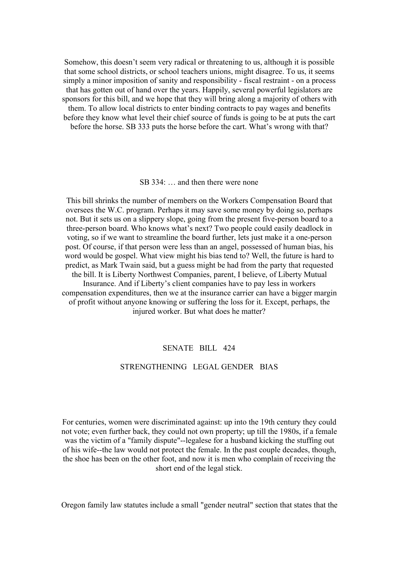Somehow, this doesn't seem very radical or threatening to us, although it is possible that some school districts, or school teachers unions, might disagree. To us, it seems simply a minor imposition of sanity and responsibility - fiscal restraint - on a process that has gotten out of hand over the years. Happily, several powerful legislators are sponsors for this bill, and we hope that they will bring along a majority of others with them. To allow local districts to enter binding contracts to pay wages and benefits before they know what level their chief source of funds is going to be at puts the cart before the horse. SB 333 puts the horse before the cart. What's wrong with that?

SB 334: … and then there were none

This bill shrinks the number of members on the Workers Compensation Board that oversees the W.C. program. Perhaps it may save some money by doing so, perhaps not. But it sets us on a slippery slope, going from the present five-person board to a three-person board. Who knows what's next? Two people could easily deadlock in voting, so if we want to streamline the board further, lets just make it a one-person post. Of course, if that person were less than an angel, possessed of human bias, his word would be gospel. What view might his bias tend to? Well, the future is hard to predict, as Mark Twain said, but a guess might be had from the party that requested the bill. It is Liberty Northwest Companies, parent, I believe, of Liberty Mutual Insurance. And if Liberty's client companies have to pay less in workers compensation expenditures, then we at the insurance carrier can have a bigger margin of profit without anyone knowing or suffering the loss for it. Except, perhaps, the

injured worker. But what does he matter?

# SENATE BILL 424

# STRENGTHENING LEGAL GENDER BIAS

For centuries, women were discriminated against: up into the 19th century they could not vote; even further back, they could not own property; up till the 1980s, if a female was the victim of a "family dispute"--legalese for a husband kicking the stuffing out of his wife--the law would not protect the female. In the past couple decades, though, the shoe has been on the other foot, and now it is men who complain of receiving the short end of the legal stick.

Oregon family law statutes include a small "gender neutral" section that states that the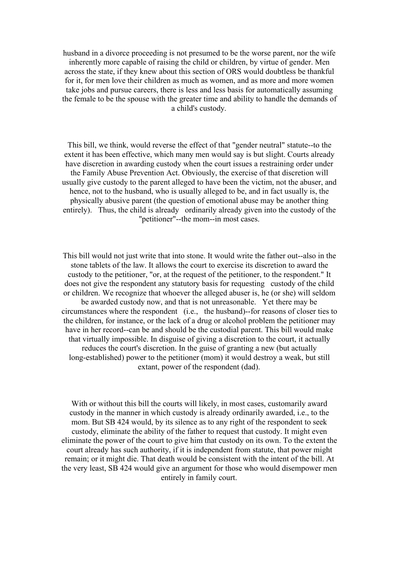husband in a divorce proceeding is not presumed to be the worse parent, nor the wife inherently more capable of raising the child or children, by virtue of gender. Men across the state, if they knew about this section of ORS would doubtless be thankful for it, for men love their children as much as women, and as more and more women take jobs and pursue careers, there is less and less basis for automatically assuming the female to be the spouse with the greater time and ability to handle the demands of a child's custody.

This bill, we think, would reverse the effect of that "gender neutral" statute--to the extent it has been effective, which many men would say is but slight. Courts already have discretion in awarding custody when the court issues a restraining order under the Family Abuse Prevention Act. Obviously, the exercise of that discretion will usually give custody to the parent alleged to have been the victim, not the abuser, and hence, not to the husband, who is usually alleged to be, and in fact usually is, the physically abusive parent (the question of emotional abuse may be another thing entirely). Thus, the child is already ordinarily already given into the custody of the "petitioner"--the mom--in most cases.

This bill would not just write that into stone. It would write the father out--also in the stone tablets of the law. It allows the court to exercise its discretion to award the custody to the petitioner, "or, at the request of the petitioner, to the respondent." It does not give the respondent any statutory basis for requesting custody of the child or children. We recognize that whoever the alleged abuser is, he (or she) will seldom be awarded custody now, and that is not unreasonable. Yet there may be circumstances where the respondent (i.e., the husband)--for reasons of closer ties to the children, for instance, or the lack of a drug or alcohol problem the petitioner may have in her record--can be and should be the custodial parent. This bill would make that virtually impossible. In disguise of giving a discretion to the court, it actually reduces the court's discretion. In the guise of granting a new (but actually long-established) power to the petitioner (mom) it would destroy a weak, but still extant, power of the respondent (dad).

With or without this bill the courts will likely, in most cases, customarily award custody in the manner in which custody is already ordinarily awarded, i.e., to the mom. But SB 424 would, by its silence as to any right of the respondent to seek custody, eliminate the ability of the father to request that custody. It might even eliminate the power of the court to give him that custody on its own. To the extent the court already has such authority, if it is independent from statute, that power might remain; or it might die. That death would be consistent with the intent of the bill. At the very least, SB 424 would give an argument for those who would disempower men entirely in family court.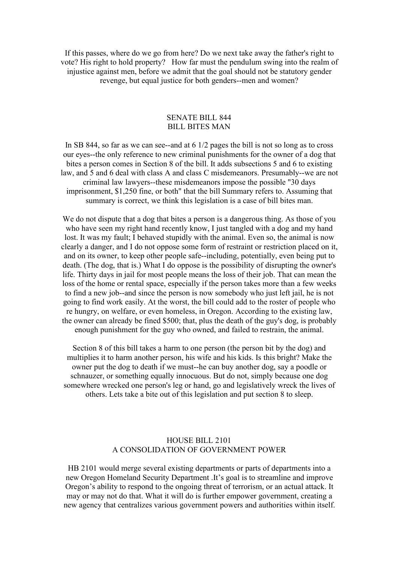If this passes, where do we go from here? Do we next take away the father's right to vote? His right to hold property? How far must the pendulum swing into the realm of injustice against men, before we admit that the goal should not be statutory gender revenge, but equal justice for both genders--men and women?

### SENATE BILL 844 BILL BITES MAN

In SB 844, so far as we can see--and at  $6 \frac{1}{2}$  pages the bill is not so long as to cross our eyes--the only reference to new criminal punishments for the owner of a dog that bites a person comes in Section 8 of the bill. It adds subsections 5 and 6 to existing law, and 5 and 6 deal with class A and class C misdemeanors. Presumably--we are not criminal law lawyers--these misdemeanors impose the possible "30 days imprisonment, \$1,250 fine, or both" that the bill Summary refers to. Assuming that summary is correct, we think this legislation is a case of bill bites man.

We do not dispute that a dog that bites a person is a dangerous thing. As those of you who have seen my right hand recently know, I just tangled with a dog and my hand lost. It was my fault; I behaved stupidly with the animal. Even so, the animal is now clearly a danger, and I do not oppose some form of restraint or restriction placed on it, and on its owner, to keep other people safe--including, potentially, even being put to death. (The dog, that is.) What I do oppose is the possibility of disrupting the owner's life. Thirty days in jail for most people means the loss of their job. That can mean the loss of the home or rental space, especially if the person takes more than a few weeks to find a new job--and since the person is now somebody who just left jail, he is not going to find work easily. At the worst, the bill could add to the roster of people who re hungry, on welfare, or even homeless, in Oregon. According to the existing law, the owner can already be fined \$500; that, plus the death of the guy's dog, is probably enough punishment for the guy who owned, and failed to restrain, the animal.

Section  $8$  of this bill takes a harm to one person (the person bit by the dog) and multiplies it to harm another person, his wife and his kids. Is this bright? Make the owner put the dog to death if we must--he can buy another dog, say a poodle or schnauzer, or something equally innocuous. But do not, simply because one dog somewhere wrecked one person's leg or hand, go and legislatively wreck the lives of others. Lets take a bite out of this legislation and put section 8 to sleep.

### HOUSE BILL 2101 A CONSOLIDATION OF GOVERNMENT POWER

HB 2101 would merge several existing departments or parts of departments into a new Oregon Homeland Security Department .It's goal is to streamline and improve Oregon's ability to respond to the ongoing threat of terrorism, or an actual attack. It may or may not do that.What it will do is further empower government, creating a new agency that centralizes various government powers and authorities within itself.